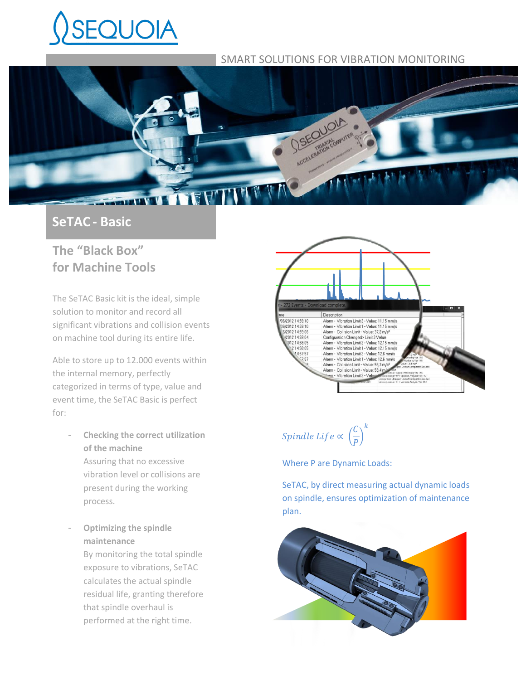# AIOUC

## SMART SOLUTIONS FOR VIBRATION MONITORING



## **SeTAC - Basic**

# **The "Black Box" for Machine Tools**

The SeTAC Basic kit is the ideal, simple solution to monitor and record all significant vibrations and collision events on machine tool during its entire life.

Able to store up to 12.000 events within the internal memory, perfectly categorized in terms of type, value and event time, the SeTAC Basic is perfect for:

- **Checking the correct utilization of the machine** Assuring that no excessive vibration level or collisions are present during the working process.
- **Optimizing the spindle maintenance** By monitoring the total spindle exposure to vibrations, SeTAC calculates the actual spindle residual life, granting therefore that spindle overhaul is performed at the right time.



Spindle Life  $\propto$   $\mid$  $\mathcal{C}_{0}^{(n)}$  $\frac{1}{P}$  $\boldsymbol{k}$ 

Where P are Dynamic Loads:

SeTAC, by direct measuring actual dynamic loads on spindle, ensures optimization of maintenance plan.